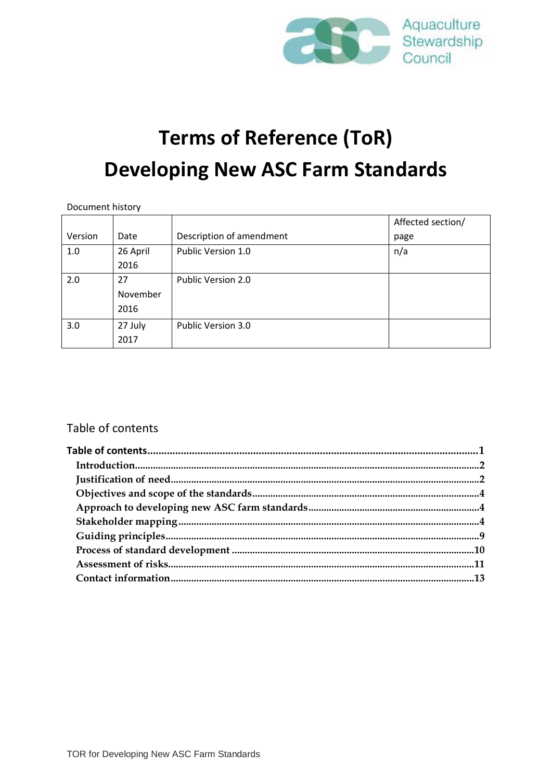

# **Terms of Reference (ToR) Developing New ASC Farm Standards**

| Document history |  |
|------------------|--|
|                  |  |

|         |          |                          | Affected section/ |
|---------|----------|--------------------------|-------------------|
| Version | Date     | Description of amendment | page              |
| 1.0     | 26 April | Public Version 1.0       | n/a               |
|         | 2016     |                          |                   |
| 2.0     | 27       | Public Version 2.0       |                   |
|         | November |                          |                   |
|         | 2016     |                          |                   |
| 3.0     | 27 July  | Public Version 3.0       |                   |
|         | 2017     |                          |                   |

### <span id="page-0-0"></span>Table of contents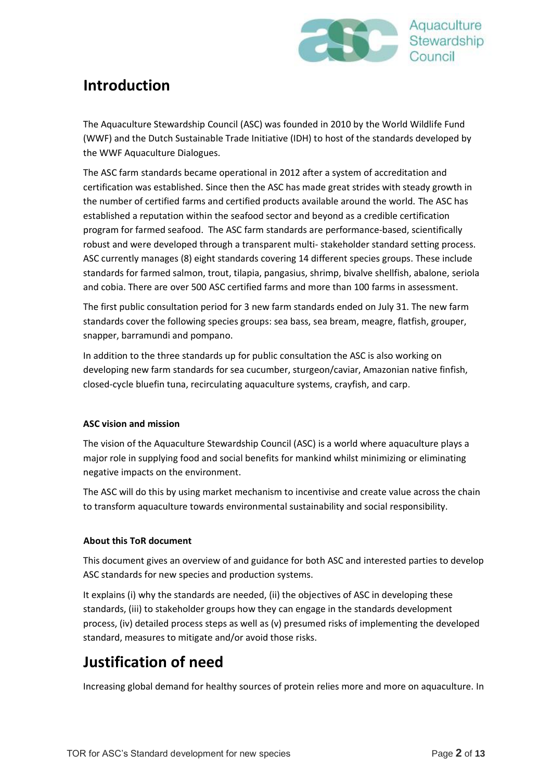

# <span id="page-1-0"></span>**Introduction**

The Aquaculture Stewardship Council (ASC) was founded in 2010 by the World Wildlife Fund (WWF) and the Dutch Sustainable Trade Initiative (IDH) to host of the standards developed by the WWF Aquaculture Dialogues.

The ASC farm standards became operational in 2012 after a system of accreditation and certification was established. Since then the ASC has made great strides with steady growth in the number of certified farms and certified products available around the world. The ASC has established a reputation within the seafood sector and beyond as a credible certification program for farmed seafood. The ASC farm standards are performance-based, scientifically robust and were developed through a transparent multi- stakeholder standard setting process. ASC currently manages (8) eight standards covering 14 different species groups. These include standards for farmed salmon, trout, tilapia, pangasius, shrimp, bivalve shellfish, abalone, seriola and cobia. There are over 500 ASC certified farms and more than 100 farms in assessment.

The first public consultation period for 3 new farm standards ended on July 31. The new farm standards cover the following species groups: sea bass, sea bream, meagre, flatfish, grouper, snapper, barramundi and pompano.

In addition to the three standards up for public consultation the ASC is also working on developing new farm standards for sea cucumber, sturgeon/caviar, Amazonian native finfish, closed-cycle bluefin tuna, recirculating aquaculture systems, crayfish, and carp.

#### **ASC vision and mission**

The vision of the Aquaculture Stewardship Council (ASC) is a world where aquaculture plays a major role in supplying food and social benefits for mankind whilst minimizing or eliminating negative impacts on the environment.

The ASC will do this by using market mechanism to incentivise and create value across the chain to transform aquaculture towards environmental sustainability and social responsibility.

#### **About this ToR document**

This document gives an overview of and guidance for both ASC and interested parties to develop ASC standards for new species and production systems.

It explains (i) why the standards are needed, (ii) the objectives of ASC in developing these standards, (iii) to stakeholder groups how they can engage in the standards development process, (iv) detailed process steps as well as (v) presumed risks of implementing the developed standard, measures to mitigate and/or avoid those risks.

# <span id="page-1-1"></span>**Justification of need**

Increasing global demand for healthy sources of protein relies more and more on aquaculture. In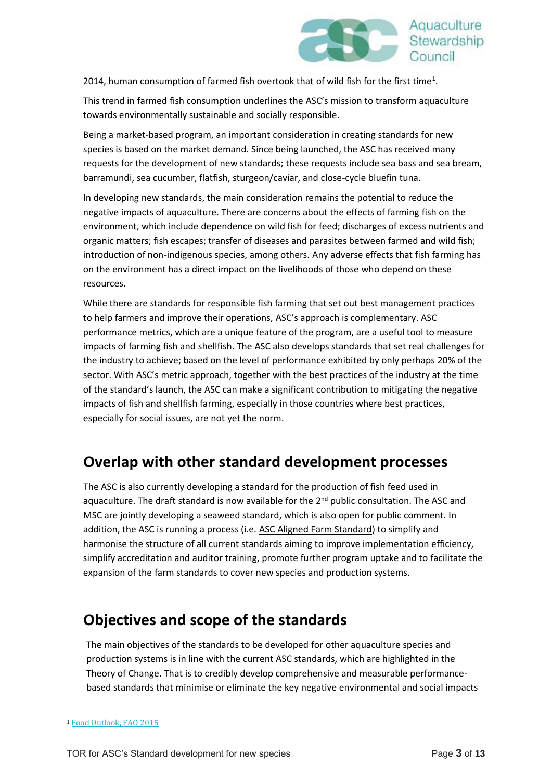

2014, human consumption of farmed fish overtook that of wild fish for the first time<sup>1</sup>.

This trend in farmed fish consumption underlines the ASC's mission to transform aquaculture towards environmentally sustainable and socially responsible.

Being a market-based program, an important consideration in creating standards for new species is based on the market demand. Since being launched, the ASC has received many requests for the development of new standards; these requests include sea bass and sea bream, barramundi, sea cucumber, flatfish, sturgeon/caviar, and close-cycle bluefin tuna.

In developing new standards, the main consideration remains the potential to reduce the negative impacts of aquaculture. There are concerns about the effects of farming fish on the environment, which include dependence on wild fish for feed; discharges of excess nutrients and organic matters; fish escapes; transfer of diseases and parasites between farmed and wild fish; introduction of non-indigenous species, among others. Any adverse effects that fish farming has on the environment has a direct impact on the livelihoods of those who depend on these resources.

While there are standards for responsible fish farming that set out best management practices to help farmers and improve their operations, ASC's approach is complementary. ASC performance metrics, which are a unique feature of the program, are a useful tool to measure impacts of farming fish and shellfish. The ASC also develops standards that set real challenges for the industry to achieve; based on the level of performance exhibited by only perhaps 20% of the sector. With ASC's metric approach, together with the best practices of the industry at the time of the standard's launch, the ASC can make a significant contribution to mitigating the negative impacts of fish and shellfish farming, especially in those countries where best practices, especially for social issues, are not yet the norm.

# <span id="page-2-0"></span>**Overlap with other standard development processes**

The ASC is also currently developing a standard for the production of fish feed used in aquaculture. The draft standard is now available for the 2<sup>nd</sup> public consultation. The ASC and MSC are jointly developing a seaweed standard, which is also open for public comment. In addition, the ASC is running a process (i.e. [ASC Aligned Farm Standard\)](http://www.asc-aqua.org/index.cfm?act=tekst.item&iid=311&iids=549&lng=1) to simplify and harmonise the structure of all current standards aiming to improve implementation efficiency, simplify accreditation and auditor training, promote further program uptake and to facilitate the expansion of the farm standards to cover new species and production systems.

# **Objectives and scope of the standards**

The main objectives of the standards to be developed for other aquaculture species and production systems is in line with the current ASC standards, which are highlighted in the Theory of Change. That is to credibly develop comprehensive and measurable performancebased standards that minimise or eliminate the key negative environmental and social impacts

-

<sup>1</sup> [Food Outlook, FAO 2015](http://www.fao.org/3/a-i4581e.pdf)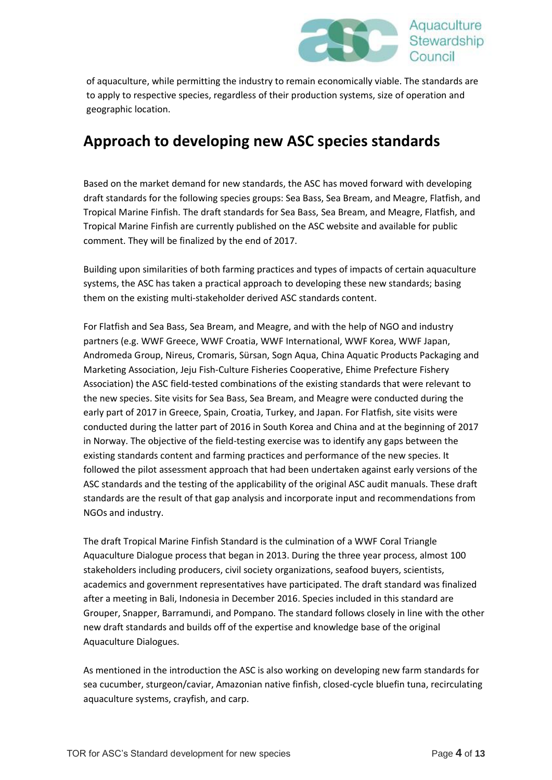

of aquaculture, while permitting the industry to remain economically viable. The standards are to apply to respective species, regardless of their production systems, size of operation and geographic location.

# <span id="page-3-0"></span>**Approach to developing new ASC species standards**

Based on the market demand for new standards, the ASC has moved forward with developing draft standards for the following species groups: Sea Bass, Sea Bream, and Meagre, Flatfish, and Tropical Marine Finfish. The draft standards for Sea Bass, Sea Bream, and Meagre, Flatfish, and Tropical Marine Finfish are currently published on the ASC website and available for public comment. They will be finalized by the end of 2017.

Building upon similarities of both farming practices and types of impacts of certain aquaculture systems, the ASC has taken a practical approach to developing these new standards; basing them on the existing multi-stakeholder derived ASC standards content.

For Flatfish and Sea Bass, Sea Bream, and Meagre, and with the help of NGO and industry partners (e.g. WWF Greece, WWF Croatia, WWF International, WWF Korea, WWF Japan, Andromeda Group, Nireus, Cromaris, Sürsan, Sogn Aqua, China Aquatic Products Packaging and Marketing Association, Jeju Fish-Culture Fisheries Cooperative, Ehime Prefecture Fishery Association) the ASC field-tested combinations of the existing standards that were relevant to the new species. Site visits for Sea Bass, Sea Bream, and Meagre were conducted during the early part of 2017 in Greece, Spain, Croatia, Turkey, and Japan. For Flatfish, site visits were conducted during the latter part of 2016 in South Korea and China and at the beginning of 2017 in Norway. The objective of the field-testing exercise was to identify any gaps between the existing standards content and farming practices and performance of the new species. It followed the pilot assessment approach that had been undertaken against early versions of the ASC standards and the testing of the applicability of the original ASC audit manuals. These draft standards are the result of that gap analysis and incorporate input and recommendations from NGOs and industry.

The draft Tropical Marine Finfish Standard is the culmination of a WWF Coral Triangle Aquaculture Dialogue process that began in 2013. During the three year process, almost 100 stakeholders including producers, civil society organizations, seafood buyers, scientists, academics and government representatives have participated. The draft standard was finalized after a meeting in Bali, Indonesia in December 2016. Species included in this standard are Grouper, Snapper, Barramundi, and Pompano. The standard follows closely in line with the other new draft standards and builds off of the expertise and knowledge base of the original Aquaculture Dialogues.

<span id="page-3-1"></span>As mentioned in the introduction the ASC is also working on developing new farm standards for sea cucumber, sturgeon/caviar, Amazonian native finfish, closed-cycle bluefin tuna, recirculating aquaculture systems, crayfish, and carp.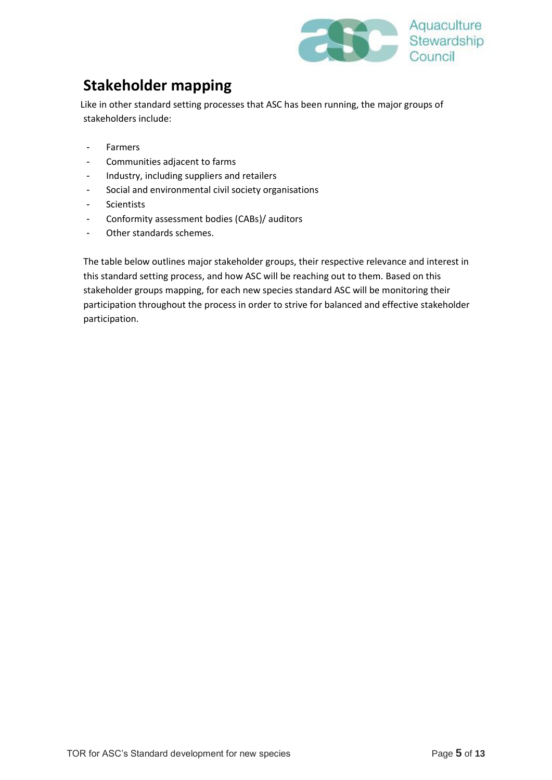

# **Stakeholder mapping**

Like in other standard setting processes that ASC has been running, the major groups of stakeholders include:

- Farmers
- Communities adjacent to farms
- Industry, including suppliers and retailers
- Social and environmental civil society organisations
- Scientists
- Conformity assessment bodies (CABs)/ auditors
- Other standards schemes.

The table below outlines major stakeholder groups, their respective relevance and interest in this standard setting process, and how ASC will be reaching out to them. Based on this stakeholder groups mapping, for each new species standard ASC will be monitoring their participation throughout the process in order to strive for balanced and effective stakeholder participation.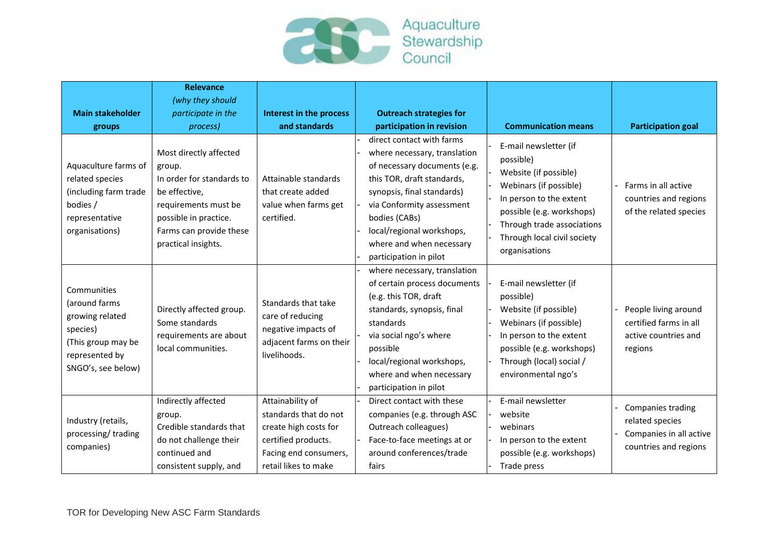

| <b>Main stakeholder</b><br>groups<br>Aquaculture farms of<br>related species<br>(including farm trade<br>bodies /<br>representative<br>organisations) | <b>Relevance</b><br>(why they should<br>participate in the<br>process)<br>Most directly affected<br>group.<br>In order for standards to<br>be effective,<br>requirements must be<br>possible in practice.<br>Farms can provide these<br>practical insights. | Interest in the process<br>and standards<br>Attainable standards<br>that create added<br>value when farms get<br>certified.                | <b>Outreach strategies for</b><br>participation in revision<br>direct contact with farms<br>where necessary, translation<br>of necessary documents (e.g.<br>this TOR, draft standards,<br>synopsis, final standards)<br>via Conformity assessment<br>bodies (CABs)<br>local/regional workshops,<br>where and when necessary<br>participation in pilot | <b>Communication means</b><br>E-mail newsletter (if<br>possible)<br>Website (if possible)<br>Webinars (if possible)<br>In person to the extent<br>possible (e.g. workshops)<br>Through trade associations<br>Through local civil society<br>organisations | <b>Participation goal</b><br>Farms in all active<br>countries and regions<br>of the related species |
|-------------------------------------------------------------------------------------------------------------------------------------------------------|-------------------------------------------------------------------------------------------------------------------------------------------------------------------------------------------------------------------------------------------------------------|--------------------------------------------------------------------------------------------------------------------------------------------|-------------------------------------------------------------------------------------------------------------------------------------------------------------------------------------------------------------------------------------------------------------------------------------------------------------------------------------------------------|-----------------------------------------------------------------------------------------------------------------------------------------------------------------------------------------------------------------------------------------------------------|-----------------------------------------------------------------------------------------------------|
| Communities<br>(around farms<br>growing related<br>species)<br>(This group may be<br>represented by<br>SNGO's, see below)                             | Directly affected group.<br>Some standards<br>requirements are about<br>local communities.                                                                                                                                                                  | Standards that take<br>care of reducing<br>negative impacts of<br>adjacent farms on their<br>livelihoods.                                  | where necessary, translation<br>of certain process documents<br>(e.g. this TOR, draft<br>standards, synopsis, final<br>standards<br>via social ngo's where<br>possible<br>local/regional workshops,<br>where and when necessary<br>participation in pilot                                                                                             | E-mail newsletter (if<br>possible)<br>Website (if possible)<br>Webinars (if possible)<br>In person to the extent<br>possible (e.g. workshops)<br>Through (local) social /<br>environmental ngo's                                                          | People living around<br>certified farms in all<br>active countries and<br>regions                   |
| Industry (retails,<br>processing/trading<br>companies)                                                                                                | Indirectly affected<br>group.<br>Credible standards that<br>do not challenge their<br>continued and<br>consistent supply, and                                                                                                                               | Attainability of<br>standards that do not<br>create high costs for<br>certified products.<br>Facing end consumers,<br>retail likes to make | Direct contact with these<br>companies (e.g. through ASC<br>Outreach colleagues)<br>Face-to-face meetings at or<br>around conferences/trade<br>fairs                                                                                                                                                                                                  | E-mail newsletter<br>website<br>webinars<br>In person to the extent<br>possible (e.g. workshops)<br>Trade press                                                                                                                                           | Companies trading<br>related species<br>Companies in all active<br>countries and regions            |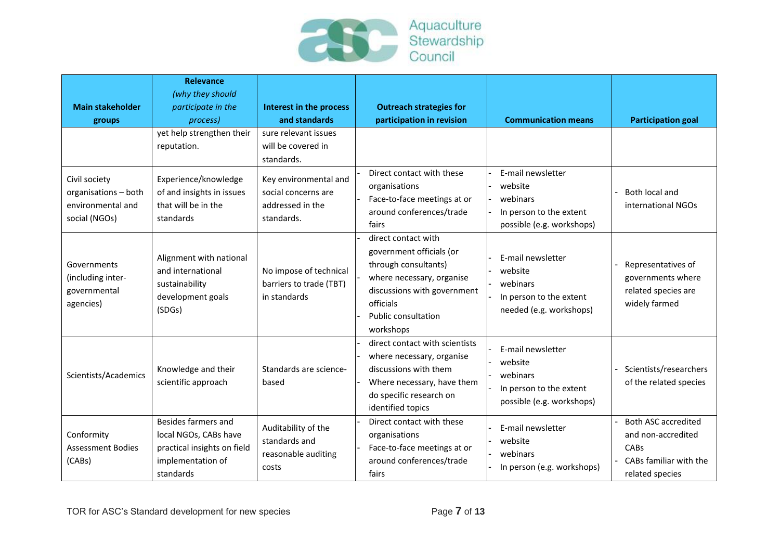

| <b>Main stakeholder</b><br>groups                                           | <b>Relevance</b><br>(why they should<br>participate in the<br>process)                                        | Interest in the process<br>and standards                                       | <b>Outreach strategies for</b><br>participation in revision                                                                                                                          | <b>Communication means</b>                                                                       | <b>Participation goal</b>                                                                               |
|-----------------------------------------------------------------------------|---------------------------------------------------------------------------------------------------------------|--------------------------------------------------------------------------------|--------------------------------------------------------------------------------------------------------------------------------------------------------------------------------------|--------------------------------------------------------------------------------------------------|---------------------------------------------------------------------------------------------------------|
|                                                                             | yet help strengthen their<br>reputation.                                                                      | sure relevant issues<br>will be covered in<br>standards.                       |                                                                                                                                                                                      |                                                                                                  |                                                                                                         |
| Civil society<br>organisations - both<br>environmental and<br>social (NGOs) | Experience/knowledge<br>of and insights in issues<br>that will be in the<br>standards                         | Key environmental and<br>social concerns are<br>addressed in the<br>standards. | Direct contact with these<br>organisations<br>Face-to-face meetings at or<br>around conferences/trade<br>fairs                                                                       | E-mail newsletter<br>website<br>webinars<br>In person to the extent<br>possible (e.g. workshops) | Both local and<br>international NGOs                                                                    |
| Governments<br>(including inter-<br>governmental<br>agencies)               | Alignment with national<br>and international<br>sustainability<br>development goals<br>(SDGs)                 | No impose of technical<br>barriers to trade (TBT)<br>in standards              | direct contact with<br>government officials (or<br>through consultants)<br>where necessary, organise<br>discussions with government<br>officials<br>Public consultation<br>workshops | E-mail newsletter<br>website<br>webinars<br>In person to the extent<br>needed (e.g. workshops)   | Representatives of<br>governments where<br>related species are<br>widely farmed                         |
| Scientists/Academics                                                        | Knowledge and their<br>scientific approach                                                                    | Standards are science-<br>based                                                | direct contact with scientists<br>where necessary, organise<br>discussions with them<br>Where necessary, have them<br>do specific research on<br>identified topics                   | E-mail newsletter<br>website<br>webinars<br>In person to the extent<br>possible (e.g. workshops) | Scientists/researchers<br>of the related species                                                        |
| Conformity<br><b>Assessment Bodies</b><br>(CABs)                            | Besides farmers and<br>local NGOs, CABs have<br>practical insights on field<br>implementation of<br>standards | Auditability of the<br>standards and<br>reasonable auditing<br>costs           | Direct contact with these<br>organisations<br>Face-to-face meetings at or<br>around conferences/trade<br>fairs                                                                       | E-mail newsletter<br>website<br>webinars<br>In person (e.g. workshops)                           | <b>Both ASC accredited</b><br>and non-accredited<br>CABs<br>- CABs familiar with the<br>related species |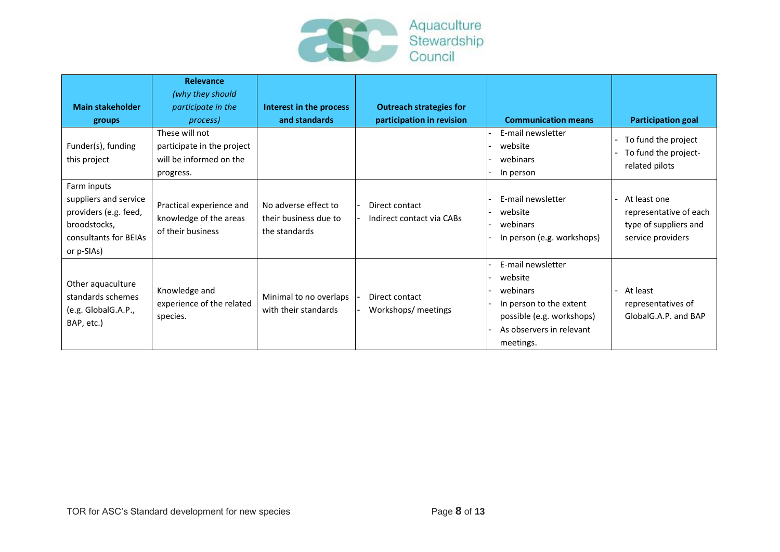

| <b>Main stakeholder</b><br>groups                                                                                    | Relevance<br>(why they should<br>participate in the<br>process)<br>These will not | Interest in the process<br>and standards                       | <b>Outreach strategies for</b><br>participation in revision | <b>Communication means</b><br>E-mail newsletter                                                                                           | <b>Participation goal</b>                                                              |
|----------------------------------------------------------------------------------------------------------------------|-----------------------------------------------------------------------------------|----------------------------------------------------------------|-------------------------------------------------------------|-------------------------------------------------------------------------------------------------------------------------------------------|----------------------------------------------------------------------------------------|
| Funder(s), funding<br>this project                                                                                   | participate in the project<br>will be informed on the<br>progress.                |                                                                |                                                             | website<br>webinars<br>In person                                                                                                          | - To fund the project<br>To fund the project-<br>related pilots                        |
| Farm inputs<br>suppliers and service<br>providers (e.g. feed,<br>broodstocks,<br>consultants for BEIAs<br>or p-SIAs) | Practical experience and<br>knowledge of the areas<br>of their business           | No adverse effect to<br>their business due to<br>the standards | Direct contact<br>Indirect contact via CABs                 | E-mail newsletter<br>website<br>webinars<br>In person (e.g. workshops)                                                                    | - At least one<br>representative of each<br>type of suppliers and<br>service providers |
| Other aquaculture<br>standards schemes<br>(e.g. GlobalG.A.P.,<br>BAP, etc.)                                          | Knowledge and<br>experience of the related<br>species.                            | Minimal to no overlaps<br>with their standards                 | Direct contact<br>Workshops/ meetings                       | E-mail newsletter<br>website<br>webinars<br>In person to the extent<br>possible (e.g. workshops)<br>As observers in relevant<br>meetings. | At least<br>representatives of<br>GlobalG.A.P. and BAP                                 |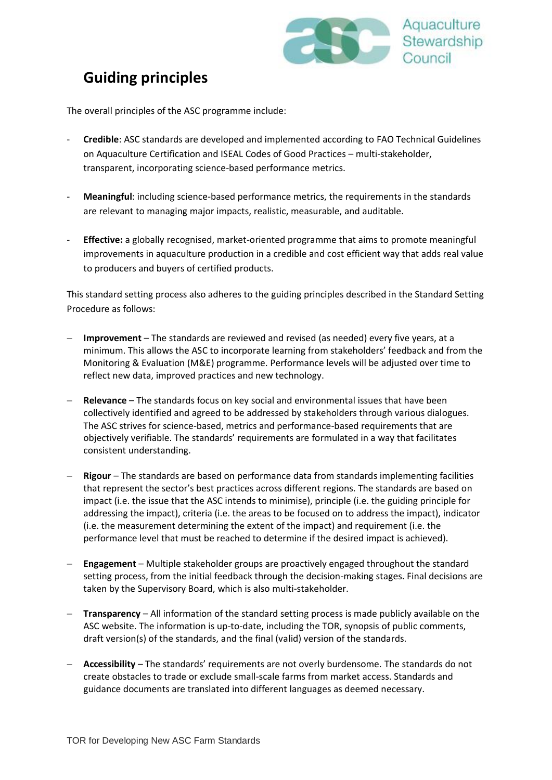

# <span id="page-8-0"></span>**Guiding principles**

The overall principles of the ASC programme include:

- **Credible**: ASC standards are developed and implemented according to FAO Technical Guidelines on Aquaculture Certification and ISEAL Codes of Good Practices – multi-stakeholder, transparent, incorporating science-based performance metrics.
- Meaningful: including science-based performance metrics, the requirements in the standards are relevant to managing major impacts, realistic, measurable, and auditable.
- **Effective:** a globally recognised, market-oriented programme that aims to promote meaningful improvements in aquaculture production in a credible and cost efficient way that adds real value to producers and buyers of certified products.

This standard setting process also adheres to the guiding principles described in the Standard Setting Procedure as follows:

- **Improvement** The standards are reviewed and revised (as needed) every five years, at a minimum. This allows the ASC to incorporate learning from stakeholders' feedback and from the Monitoring & Evaluation (M&E) programme. Performance levels will be adjusted over time to reflect new data, improved practices and new technology.
- **Relevance** The standards focus on key social and environmental issues that have been collectively identified and agreed to be addressed by stakeholders through various dialogues. The ASC strives for science-based, metrics and performance-based requirements that are objectively verifiable. The standards' requirements are formulated in a way that facilitates consistent understanding.
- **Rigour**  The standards are based on performance data from standards implementing facilities that represent the sector's best practices across different regions. The standards are based on impact (i.e. the issue that the ASC intends to minimise), principle (i.e. the guiding principle for addressing the impact), criteria (i.e. the areas to be focused on to address the impact), indicator (i.e. the measurement determining the extent of the impact) and requirement (i.e. the performance level that must be reached to determine if the desired impact is achieved).
- **Engagement** Multiple stakeholder groups are proactively engaged throughout the standard setting process, from the initial feedback through the decision-making stages. Final decisions are taken by the Supervisory Board, which is also multi-stakeholder.
- **Transparency** All information of the standard setting process is made publicly available on the ASC website. The information is up-to-date, including the TOR, synopsis of public comments, draft version(s) of the standards, and the final (valid) version of the standards.
- **Accessibility** The standards' requirements are not overly burdensome. The standards do not create obstacles to trade or exclude small-scale farms from market access. Standards and guidance documents are translated into different languages as deemed necessary.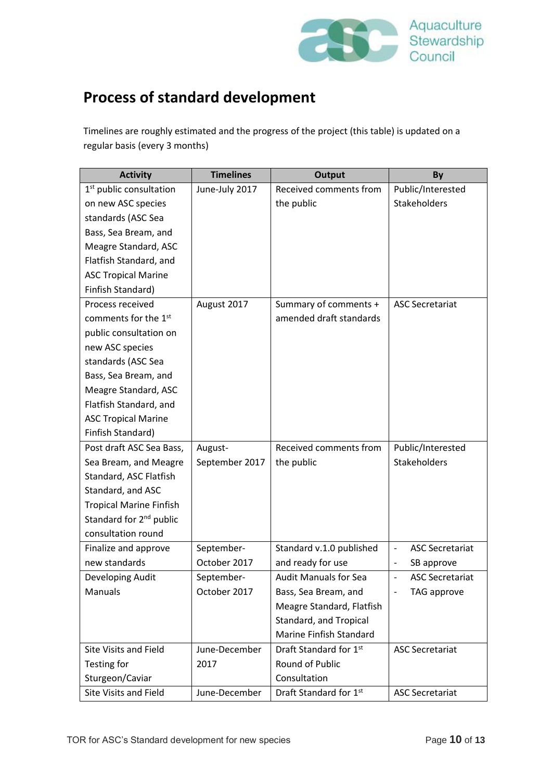

# <span id="page-9-0"></span>**Process of standard development**

Timelines are roughly estimated and the progress of the project (this table) is updated on a regular basis (every 3 months)

| <b>Activity</b>                     | <b>Timelines</b> | <b>Output</b>                | By                                                 |
|-------------------------------------|------------------|------------------------------|----------------------------------------------------|
| 1 <sup>st</sup> public consultation | June-July 2017   | Received comments from       | Public/Interested                                  |
| on new ASC species                  |                  | the public                   | Stakeholders                                       |
| standards (ASC Sea                  |                  |                              |                                                    |
| Bass, Sea Bream, and                |                  |                              |                                                    |
| Meagre Standard, ASC                |                  |                              |                                                    |
| Flatfish Standard, and              |                  |                              |                                                    |
| <b>ASC Tropical Marine</b>          |                  |                              |                                                    |
| Finfish Standard)                   |                  |                              |                                                    |
| Process received                    | August 2017      | Summary of comments +        | <b>ASC Secretariat</b>                             |
| comments for the 1 <sup>st</sup>    |                  | amended draft standards      |                                                    |
| public consultation on              |                  |                              |                                                    |
| new ASC species                     |                  |                              |                                                    |
| standards (ASC Sea                  |                  |                              |                                                    |
| Bass, Sea Bream, and                |                  |                              |                                                    |
| Meagre Standard, ASC                |                  |                              |                                                    |
| Flatfish Standard, and              |                  |                              |                                                    |
| <b>ASC Tropical Marine</b>          |                  |                              |                                                    |
| Finfish Standard)                   |                  |                              |                                                    |
| Post draft ASC Sea Bass,            | August-          | Received comments from       | Public/Interested                                  |
| Sea Bream, and Meagre               | September 2017   | the public                   | <b>Stakeholders</b>                                |
| Standard, ASC Flatfish              |                  |                              |                                                    |
| Standard, and ASC                   |                  |                              |                                                    |
| <b>Tropical Marine Finfish</b>      |                  |                              |                                                    |
| Standard for 2 <sup>nd</sup> public |                  |                              |                                                    |
| consultation round                  |                  |                              |                                                    |
| Finalize and approve                | September-       | Standard v.1.0 published     | <b>ASC Secretariat</b><br>$\overline{\phantom{a}}$ |
| new standards                       | October 2017     | and ready for use            | SB approve<br>$\overline{\phantom{a}}$             |
| Developing Audit                    | September-       | <b>Audit Manuals for Sea</b> | <b>ASC Secretariat</b><br>$\overline{\phantom{m}}$ |
| Manuals                             | October 2017     | Bass, Sea Bream, and         | TAG approve                                        |
|                                     |                  | Meagre Standard, Flatfish    |                                                    |
|                                     |                  | Standard, and Tropical       |                                                    |
|                                     |                  | Marine Finfish Standard      |                                                    |
| <b>Site Visits and Field</b>        | June-December    | Draft Standard for 1st       | <b>ASC Secretariat</b>                             |
| Testing for                         | 2017             | Round of Public              |                                                    |
| Sturgeon/Caviar                     |                  | Consultation                 |                                                    |
| Site Visits and Field               | June-December    | Draft Standard for 1st       | <b>ASC Secretariat</b>                             |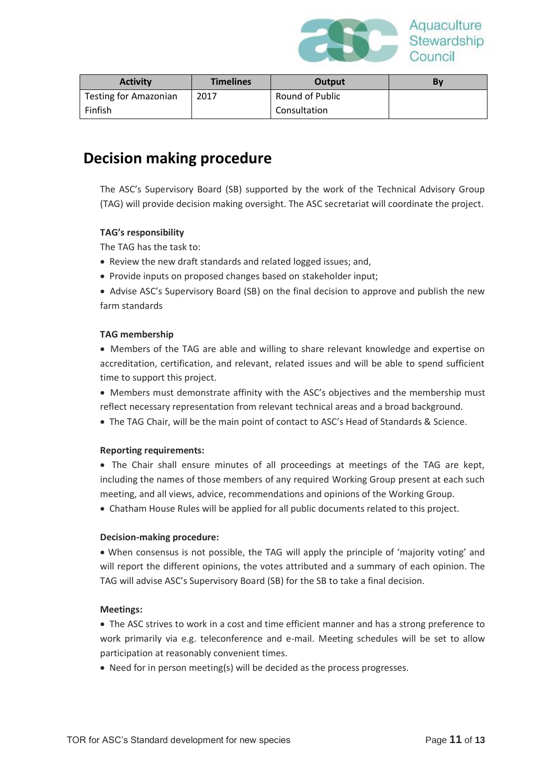

| <b>Activity</b>              | <b>Timelines</b> | Output          | B٧ |
|------------------------------|------------------|-----------------|----|
| <b>Testing for Amazonian</b> | 2017             | Round of Public |    |
| Finfish                      |                  | Consultation    |    |

### <span id="page-10-0"></span>**Decision making procedure**

The ASC's Supervisory Board (SB) supported by the work of the Technical Advisory Group (TAG) will provide decision making oversight. The ASC secretariat will coordinate the project.

#### **TAG's responsibility**

The TAG has the task to:

- Review the new draft standards and related logged issues; and,
- Provide inputs on proposed changes based on stakeholder input;
- Advise ASC's Supervisory Board (SB) on the final decision to approve and publish the new farm standards

#### **TAG membership**

- Members of the TAG are able and willing to share relevant knowledge and expertise on accreditation, certification, and relevant, related issues and will be able to spend sufficient time to support this project.
- Members must demonstrate affinity with the ASC's objectives and the membership must reflect necessary representation from relevant technical areas and a broad background.
- The TAG Chair, will be the main point of contact to ASC's Head of Standards & Science.

#### **Reporting requirements:**

• The Chair shall ensure minutes of all proceedings at meetings of the TAG are kept, including the names of those members of any required Working Group present at each such meeting, and all views, advice, recommendations and opinions of the Working Group.

• Chatham House Rules will be applied for all public documents related to this project.

#### **Decision-making procedure:**

• When consensus is not possible, the TAG will apply the principle of 'majority voting' and will report the different opinions, the votes attributed and a summary of each opinion. The TAG will advise ASC's Supervisory Board (SB) for the SB to take a final decision.

#### **Meetings:**

• The ASC strives to work in a cost and time efficient manner and has a strong preference to work primarily via e.g. teleconference and e-mail. Meeting schedules will be set to allow participation at reasonably convenient times.

• Need for in person meeting(s) will be decided as the process progresses.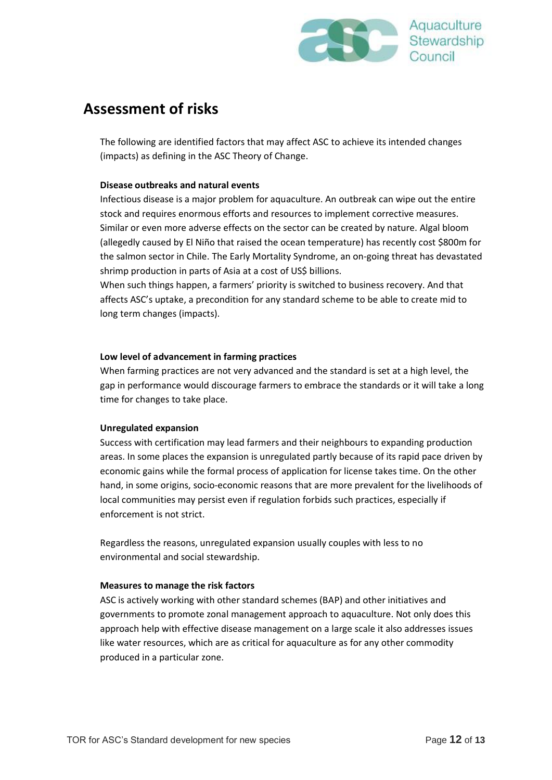

### **Assessment of risks**

The following are identified factors that may affect ASC to achieve its intended changes (impacts) as defining in the ASC Theory of Change.

#### **Disease outbreaks and natural events**

Infectious disease is a major problem for aquaculture. An outbreak can wipe out the entire stock and requires enormous efforts and resources to implement corrective measures. Similar or even more adverse effects on the sector can be created by nature. Algal bloom (allegedly caused by El Niño that raised the ocean temperature) has recently cost \$800m for the salmon sector in Chile. The Early Mortality Syndrome, an on-going threat has devastated shrimp production in parts of Asia at a cost of US\$ billions.

When such things happen, a farmers' priority is switched to business recovery. And that affects ASC's uptake, a precondition for any standard scheme to be able to create mid to long term changes (impacts).

#### **Low level of advancement in farming practices**

When farming practices are not very advanced and the standard is set at a high level, the gap in performance would discourage farmers to embrace the standards or it will take a long time for changes to take place.

#### **Unregulated expansion**

Success with certification may lead farmers and their neighbours to expanding production areas. In some places the expansion is unregulated partly because of its rapid pace driven by economic gains while the formal process of application for license takes time. On the other hand, in some origins, socio-economic reasons that are more prevalent for the livelihoods of local communities may persist even if regulation forbids such practices, especially if enforcement is not strict.

Regardless the reasons, unregulated expansion usually couples with less to no environmental and social stewardship.

#### **Measures to manage the risk factors**

ASC is actively working with other standard schemes (BAP) and other initiatives and governments to promote zonal management approach to aquaculture. Not only does this approach help with effective disease management on a large scale it also addresses issues like water resources, which are as critical for aquaculture as for any other commodity produced in a particular zone.